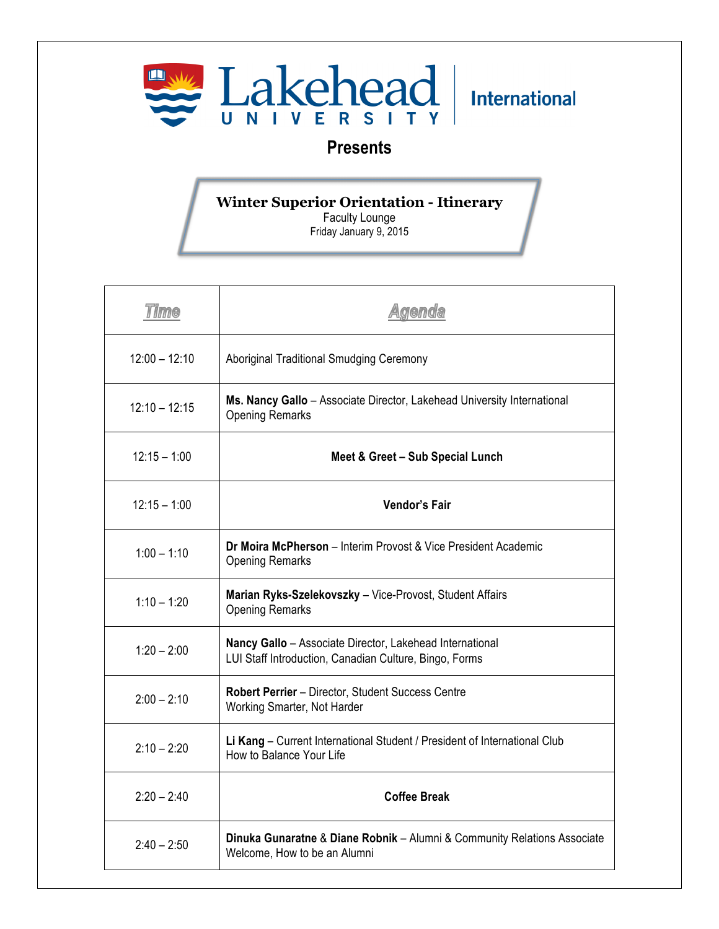

## **Presents**

## **Winter Superior Orientation - Itinerary**

Faculty Lounge Friday January 9, 2015

| <b>Time</b>     | <b>Agenda</b>                                                                                                      |
|-----------------|--------------------------------------------------------------------------------------------------------------------|
| $12:00 - 12:10$ | <b>Aboriginal Traditional Smudging Ceremony</b>                                                                    |
| $12:10 - 12:15$ | Ms. Nancy Gallo - Associate Director, Lakehead University International<br><b>Opening Remarks</b>                  |
| $12:15 - 1:00$  | Meet & Greet - Sub Special Lunch                                                                                   |
| $12:15 - 1:00$  | <b>Vendor's Fair</b>                                                                                               |
| $1:00 - 1:10$   | Dr Moira McPherson - Interim Provost & Vice President Academic<br><b>Opening Remarks</b>                           |
| $1:10 - 1:20$   | Marian Ryks-Szelekovszky - Vice-Provost, Student Affairs<br><b>Opening Remarks</b>                                 |
| $1:20 - 2:00$   | Nancy Gallo - Associate Director, Lakehead International<br>LUI Staff Introduction, Canadian Culture, Bingo, Forms |
| $2:00 - 2:10$   | Robert Perrier - Director, Student Success Centre<br>Working Smarter, Not Harder                                   |
| $2:10 - 2:20$   | Li Kang - Current International Student / President of International Club<br>How to Balance Your Life              |
| $2:20 - 2:40$   | <b>Coffee Break</b>                                                                                                |
| $2:40 - 2:50$   | Dinuka Gunaratne & Diane Robnik - Alumni & Community Relations Associate<br>Welcome, How to be an Alumni           |